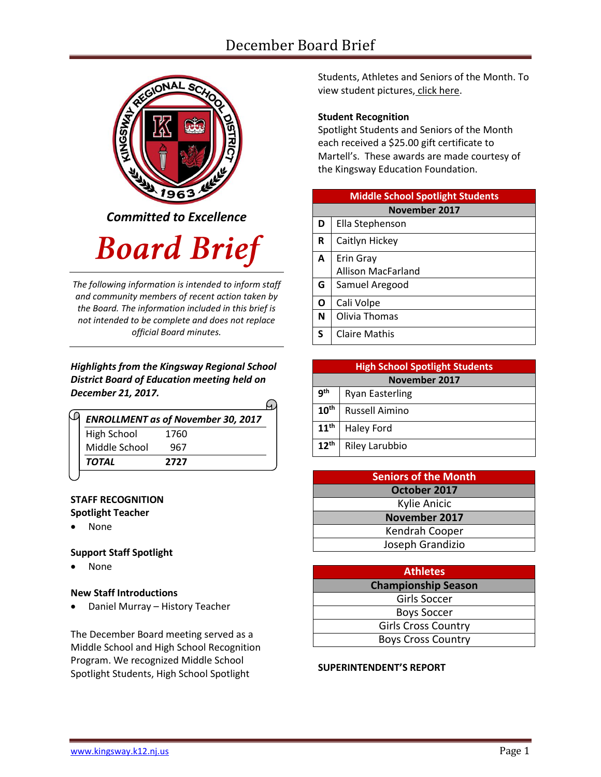# December Board Brief



*Committed to Excellence*

# **Board Brief**

*The following information is intended to inform staff and community members of recent action taken by the Board. The information included in this brief is not intended to be complete and does not replace official Board minutes.*

*Highlights from the Kingsway Regional School District Board of Education meeting held on December 21, 2017.* 

|                    | <b>ENROLLMENT as of November 30, 2017</b> |  |
|--------------------|-------------------------------------------|--|
| <b>High School</b> | 1760                                      |  |
| Middle School      | 967                                       |  |
| <b>TOTAL</b>       | 2727                                      |  |
|                    |                                           |  |

#### **STAFF RECOGNITION Spotlight Teacher**

None

## **Support Staff Spotlight**

• None

## **New Staff Introductions**

Daniel Murray – History Teacher

The December Board meeting served as a Middle School and High School Recognition Program. We recognized Middle School Spotlight Students, High School Spotlight

Students, Athletes and Seniors of the Month. To view student pictures, [click here.](http://www.krsd.org/Page/1303)

#### **Student Recognition**

Spotlight Students and Seniors of the Month each received a \$25.00 gift certificate to Martell's. These awards are made courtesy of the Kingsway Education Foundation.

| <b>Middle School Spotlight Students</b> |                    |  |
|-----------------------------------------|--------------------|--|
| November 2017                           |                    |  |
| D                                       | Ella Stephenson    |  |
| R                                       | Caitlyn Hickey     |  |
| A                                       | Erin Gray          |  |
|                                         | Allison MacFarland |  |
| G                                       | Samuel Aregood     |  |
| Ο                                       | Cali Volpe         |  |
| N                                       | Olivia Thomas      |  |
| S                                       | Claire Mathis      |  |

| <b>High School Spotlight Students</b> |                        |  |  |
|---------------------------------------|------------------------|--|--|
| November 2017                         |                        |  |  |
| 9 <sup>th</sup>                       | <b>Ryan Easterling</b> |  |  |
| $10^{\text{th}}$                      | <b>Russell Aimino</b>  |  |  |
| 11 <sup>th</sup>                      | Haley Ford             |  |  |
| $12^{th}$                             | Riley Larubbio         |  |  |

| <b>Seniors of the Month</b> |  |  |
|-----------------------------|--|--|
| October 2017                |  |  |
| Kylie Anicic                |  |  |
| November 2017               |  |  |
| Kendrah Cooper              |  |  |
| Joseph Grandizio            |  |  |
|                             |  |  |

| <b>Athletes</b>            |  |  |
|----------------------------|--|--|
| <b>Championship Season</b> |  |  |
| Girls Soccer               |  |  |
| <b>Boys Soccer</b>         |  |  |
| <b>Girls Cross Country</b> |  |  |
| <b>Boys Cross Country</b>  |  |  |

#### **SUPERINTENDENT'S REPORT**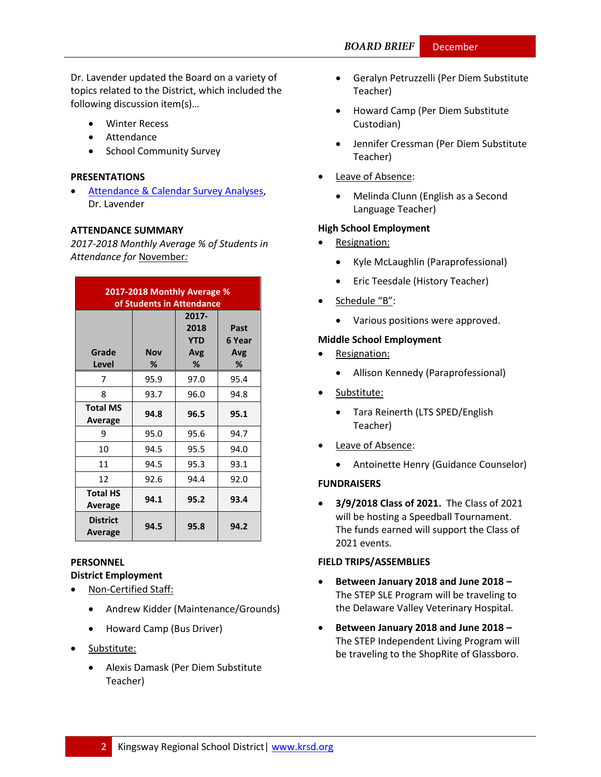Dr. Lavender updated the Board on a variety of topics related to the District, which included the following discussion item(s)…

- Winter Recess
- Attendance
- School Community Survey

#### **PRESENTATIONS**

 [Attendance & Calendar Survey Analyses,](https://www.krsd.org/Page/1453) Dr. Lavender

#### **ATTENDANCE SUMMARY**

*2017-2018 Monthly Average % of Students in Attendance for* November*:*

| 2017-2018 Monthly Average %<br>of Students in Attendance |                 |                                         |                            |
|----------------------------------------------------------|-----------------|-----------------------------------------|----------------------------|
| Grade<br>Level                                           | <b>Nov</b><br>℅ | 2017-<br>2018<br><b>YTD</b><br>Avg<br>% | Past<br>6 Year<br>Avg<br>℅ |
| 7                                                        | 95.9            | 97.0                                    | 95.4                       |
| 8                                                        | 93.7            | 96.0                                    | 94.8                       |
| <b>Total MS</b><br>Average                               | 94.8            | 96.5                                    | 95.1                       |
| 9                                                        | 95.0            | 95.6                                    | 94.7                       |
| 10                                                       | 94.5            | 95.5                                    | 94.0                       |
| 11                                                       | 94.5            | 95.3                                    | 93.1                       |
| 12                                                       | 92.6            | 94.4                                    | 92.0                       |
| <b>Total HS</b><br><b>Average</b>                        | 94.1            | 95.2                                    | 93.4                       |
| <b>District</b><br>Average                               | 94.5            | 95.8                                    | 94.2                       |

# **PERSONNEL District Employment**

- Non-Certified Staff:
	- Andrew Kidder (Maintenance/Grounds)
	- Howard Camp (Bus Driver)
- Substitute:
	- Alexis Damask (Per Diem Substitute Teacher)
- Geralyn Petruzzelli (Per Diem Substitute Teacher)
- Howard Camp (Per Diem Substitute Custodian)
- Jennifer Cressman (Per Diem Substitute Teacher)
- Leave of Absence:
	- Melinda Clunn (English as a Second Language Teacher)

## **High School Employment**

- Resignation:
	- Kyle McLaughlin (Paraprofessional)
	- Eric Teesdale (History Teacher)
- Schedule "B":
	- Various positions were approved.

#### **Middle School Employment**

- Resignation:
	- Allison Kennedy (Paraprofessional)
- Substitute:
	- Tara Reinerth (LTS SPED/English Teacher)
- Leave of Absence:
	- Antoinette Henry (Guidance Counselor)

## **FUNDRAISERS**

 **3/9/2018 Class of 2021.** The Class of 2021 will be hosting a Speedball Tournament. The funds earned will support the Class of 2021 events.

#### **FIELD TRIPS/ASSEMBLIES**

- **Between January 2018 and June 2018 –** The STEP SLE Program will be traveling to the Delaware Valley Veterinary Hospital.
- **Between January 2018 and June 2018 –** The STEP Independent Living Program will be traveling to the ShopRite of Glassboro.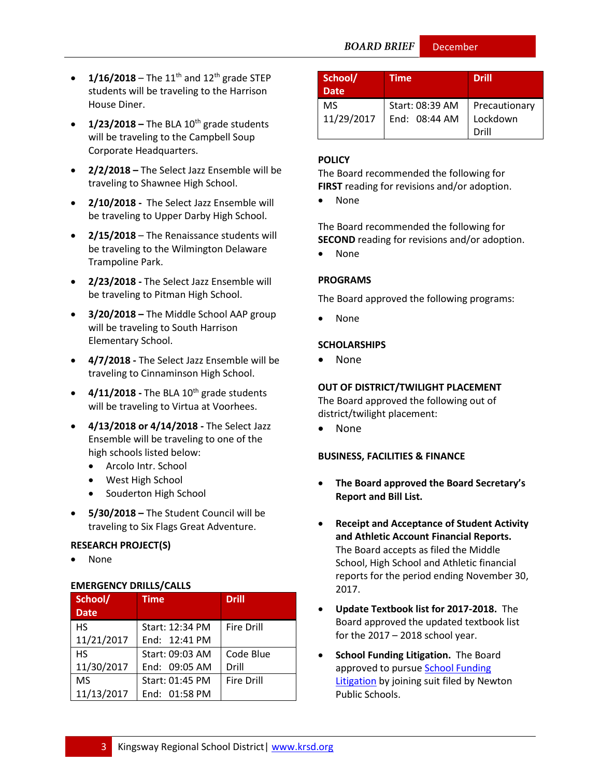**BOARD BRIEF** December

- **1/16/2018** The 11<sup>th</sup> and 12<sup>th</sup> grade STEP students will be traveling to the Harrison House Diner.
- $\bullet$  **1/23/2018** The BLA 10<sup>th</sup> grade students will be traveling to the Campbell Soup Corporate Headquarters.
- **2/2/2018 –** The Select Jazz Ensemble will be traveling to Shawnee High School.
- **2/10/2018** The Select Jazz Ensemble will be traveling to Upper Darby High School.
- **2/15/2018** The Renaissance students will be traveling to the Wilmington Delaware Trampoline Park.
- **2/23/2018 -** The Select Jazz Ensemble will be traveling to Pitman High School.
- **3/20/2018 –** The Middle School AAP group will be traveling to South Harrison Elementary School.
- **4/7/2018 -** The Select Jazz Ensemble will be traveling to Cinnaminson High School.
- **•** 4/11/2018 The BLA 10<sup>th</sup> grade students will be traveling to Virtua at Voorhees.
- **4/13/2018 or 4/14/2018 -** The Select Jazz Ensemble will be traveling to one of the high schools listed below:
	- Arcolo Intr. School
	- West High School
	- Souderton High School
- **5/30/2018 –** The Student Council will be traveling to Six Flags Great Adventure.

## **RESEARCH PROJECT(S)**

None

## **EMERGENCY DRILLS/CALLS**

| School/<br><b>Date</b> | <b>Time</b>     | <b>Drill</b>      |
|------------------------|-----------------|-------------------|
| <b>HS</b>              | Start: 12:34 PM | <b>Fire Drill</b> |
| 11/21/2017             | End: 12:41 PM   |                   |
| <b>HS</b>              | Start: 09:03 AM | Code Blue         |
| 11/30/2017             | End: 09:05 AM   | Drill             |
| <b>MS</b>              | Start: 01:45 PM | <b>Fire Drill</b> |
| 11/13/2017             | End: 01:58 PM   |                   |

| School/<br><b>Date</b> | Time            | <b>Drill</b>  |
|------------------------|-----------------|---------------|
| <b>MS</b>              | Start: 08:39 AM | Precautionary |
| 11/29/2017             | End: 08:44 AM   | Lockdown      |
|                        |                 | Drill         |

# **[POLICY](http://www.straussesmay.com/seportal/Public/DistrictPolicyTOC.aspx?id=f0cc945ef3894b8d9ad5f87d948ca425&PolicyID=)**

The Board recommended the following for **FIRST** reading for revisions and/or adoption.

• None

The Board recommended the following for **SECOND** reading for revisions and/or adoption.

None

## **PROGRAMS**

The Board approved the following programs:

None

## **SCHOLARSHIPS**

• None

#### **OUT OF DISTRICT/TWILIGHT PLACEMENT**

The Board approved the following out of district/twilight placement:

None

## **BUSINESS, FACILITIES & FINANCE**

- **The Board approved the Board Secretary's Report and Bill List.**
- **Receipt and Acceptance of Student Activity and Athletic Account Financial Reports.** The Board accepts as filed the Middle School, High School and Athletic financial reports for the period ending November 30, 2017.
- **Update Textbook list for 2017-2018.** The Board approved the updated textbook list for the  $2017 - 2018$  school year.
- **School Funding Litigation.** The Board approved to pursue **School Funding** [Litigation](https://www.krsd.org/cms/lib/NJ01912751/Centricity/Domain/375/FOR%20IMMEDIATE%20RELEASE%20Joint%20Press%20Release%20Kingsway%20and%20Swedesboro%2012-21-17.pdf) by joining suit filed by Newton Public Schools.